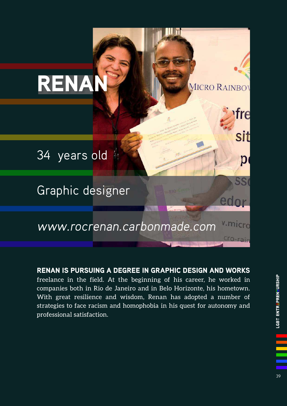

RENAN IS PURSUING A DEGREE IN GRAPHIC DESIGN AND WORKS freelance in the field. At the beginning of his career, he worked in companies both in Rio de Janeiro and in Belo Horizonte, his hometown. With great resilience and wisdom, Renan has adopted a number of strategies to face racism and homophobia in his quest for autonomy and professional satisfaction.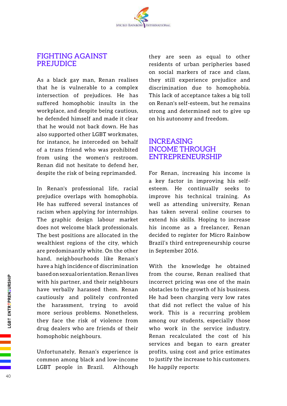

## FIGHTING AGAINST PREJUDICE

As a black gay man, Renan realises that he is vulnerable to a complex intersection of prejudices. He has suffered homophobic insults in the workplace, and despite being cautious, he defended himself and made it clear that he would not back down. He has also supported other LGBT workmates, for instance, he interceded on behalf of a trans friend who was prohibited from using the women's restroom. Renan did not hesitate to defend her, despite the risk of being reprimanded.

In Renan's professional life, racial prejudice overlaps with homophobia. He has suffered several instances of racism when applying for internships. The graphic design labour market does not welcome black professionals. The best positions are allocated in the wealthiest regions of the city, which are predominantly white. On the other hand, neighbourhoods like Renan's have a high incidence of discrimination based on sexual orientation. Renan lives with his partner, and their neighbours have verbally harassed them. Renan cautiously and politely confronted the harassment, trying to avoid more serious problems. Nonetheless, they face the risk of violence from drug dealers who are friends of their homophobic neighbours.

Unfortunately, Renan's experience is common among black and low-income LGBT people in Brazil. Although they are seen as equal to other residents of urban peripheries based on social markers of race and class, they still experience prejudice and discrimination due to homophobia. This lack of acceptance takes a big toll on Renan's self-esteem, but he remains strong and determined not to give up on his autonomy and freedom.

## INCREASING INCOME THROUGH ENTREPRENEURSHIP

For Renan, increasing his income is a key factor in improving his selfesteem. He continually seeks to improve his technical training. As well as attending university, Renan has taken several online courses to extend his skills. Hoping to increase his income as a freelancer, Renan decided to register for Micro Rainbow Brazil's third entrepreneurship course in September 2016.

With the knowledge he obtained from the course, Renan realised that incorrect pricing was one of the main obstacles to the growth of his business. He had been charging very low rates that did not reflect the value of his work. This is a recurring problem among our students, especially those who work in the service industry. Renan recalculated the cost of his services and began to earn greater profits, using cost and price estimates to justify the increase to his customers. He happily reports: